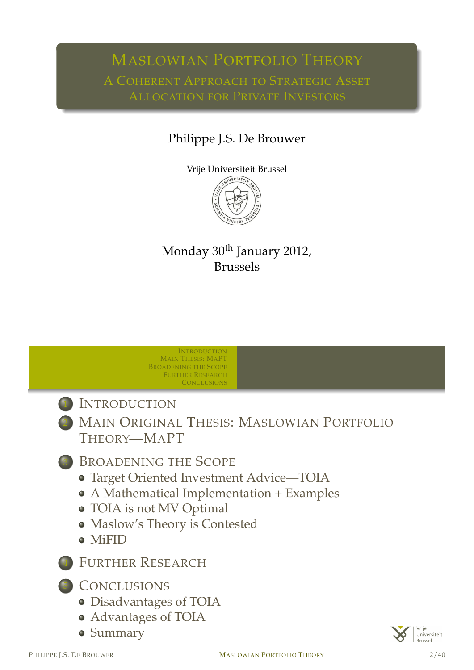# MASLOWIAN PORTFOLIO THEORY

### Philippe J.S. De Brouwer



### Monday 30<sup>th</sup> January 2012, Brussels

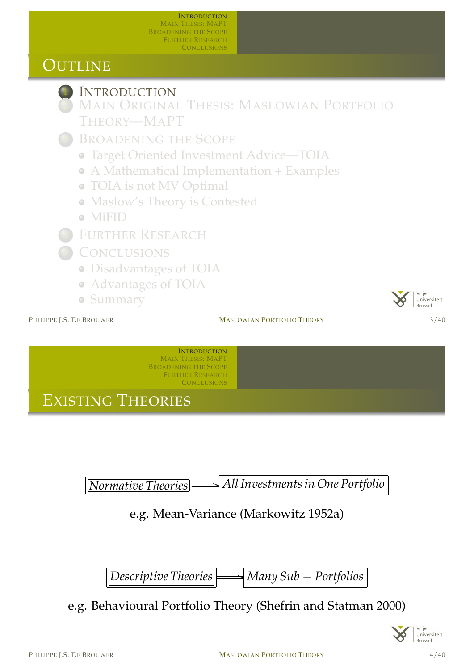### OUTLINE



### **INTRODUCTION**

MAIN ORIGINAL THESIS: MASLOWIAN PORTFOLIO THEORY—MAPT

- BROADENING THE SCOPE
	- Target Oriented Investment Advice—TOIA
	- A Mathematical Implementation + Examples
	- TOIA is not MV Optimal
	- Maslow's Theory is Contested
	- MiFID
- FURTHER RESEARCH
- **CONCLUSIONS** 
	- Disadvantages of TOIA
	- Advantages of TOIA
	- Summary

PHILIPPE I.S. DE BROUWER **MASLOWIAN PORTFOLIO THEORY** 3/40



**INTRODUCTION** MAIN THESIS: MAPT BROADENING THE SCOPE FURTHER RESEARCH **CONCLUSIONS** 

EXISTING THEORIES

*[Normative](#page-14-0) Theories* /*All Investments in One Portfolio*

[e.g. Mean-Variance \(Mar](#page-2-0)kowitz 1952a)

*[Descr](#page-11-0)[ip](#page-12-0)[tive Theories](#page-18-0)* /*Many Sub* − *Portfolios*

[e.g. Behav](#page-13-0)ioural Portfolio Theory (Shefrin and Statman 2000)

<span id="page-1-0"></span>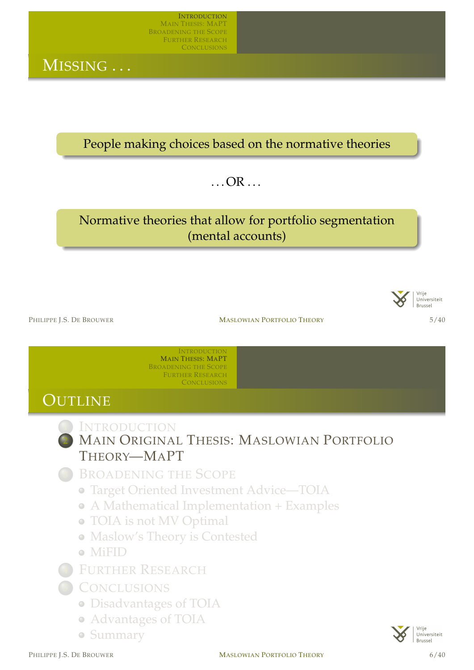MISSING . . .

People making choices based on the normative theories

 $\ldots$  OR  $\ldots$ 

### Normative theories that allow for portfolio segmentation (mental accounts)



PHILIPPE I.S. DE BROUWER **MASLOWIAN PORTFOLIO THEORY** 5/40

INTRODUCTION MAIN THESIS: MAPT BROADENING THE SCOPE FURTHER RESEARCH **CONCLUSIONS** 

### **OUTLINE**



**INTRODUCTION MAIN ORIGINAL THESIS: MASLOWIAN PORTFOLIO** T[HEORY](#page-1-0)—MAPT

- B[ROADENI](#page-13-0)NG THE SCOPE
	- Target Oriented Investment Advice—TOIA
	- [A M](#page-1-0)athematical Implementation + Examples
	- [TOIA is not MV Optimal](#page-2-0)
	- [Maslow's](#page-4-0) Theory is Contested
	- [MiFID](#page-5-0)
- **F[URTHER](#page-11-0) R[ESEARCH](#page-7-0)**
- **C[ONCLUSION](#page-12-0)S** 
	- [Disadv](#page-13-0)antages of TOIA
	- [A](#page-14-0)dvantages of TOIA
	- [Summar](#page-14-0)y

<span id="page-2-0"></span>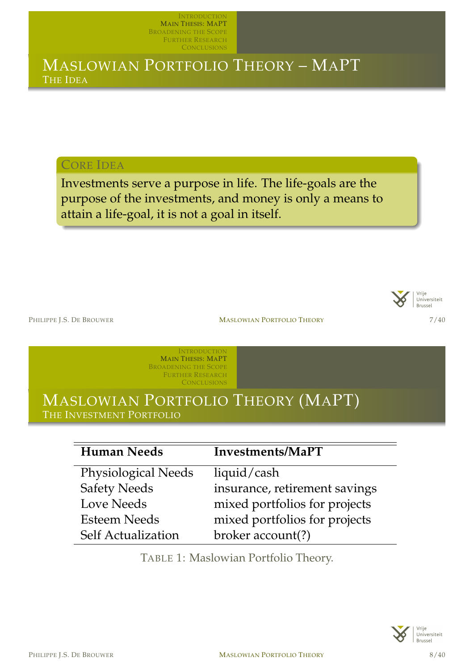### MASLOWIAN PORTFOLIO THEORY – MAPT THE IDEA

CORE IDEA

Investments serve a purpose in life. The life-goals are the purpose of the investments, and money is only a means to attain a life-goal, it is not a goal in itself.



PHILIPPE I.S. DE BROUWER **MASLOWIAN PORTFOLIO THEORY** 7/40

**INTRODUCTION** MAIN THESIS: MAPT BROADENING THE SCOPE FURTHER RESEARCH **CONCLUSIONS** 

### MASLOWIAN PORTFOLIO THEORY (MAPT) THE INVESTMENT PORTFOLIO

| <b>Human Needs</b>         | Investments/MaPT              |
|----------------------------|-------------------------------|
| <b>Physiological Needs</b> | liquid/cash                   |
| <b>Safety Needs</b>        | insurance, retirement savings |
| <b>Love Needs</b>          | mixed portfolios for projects |
| <b>Esteem Needs</b>        | mixed portfolios for projects |
| <b>Self Actualization</b>  | broker account(?)             |

TABLE 1: Maslowian Portfolio Theory.

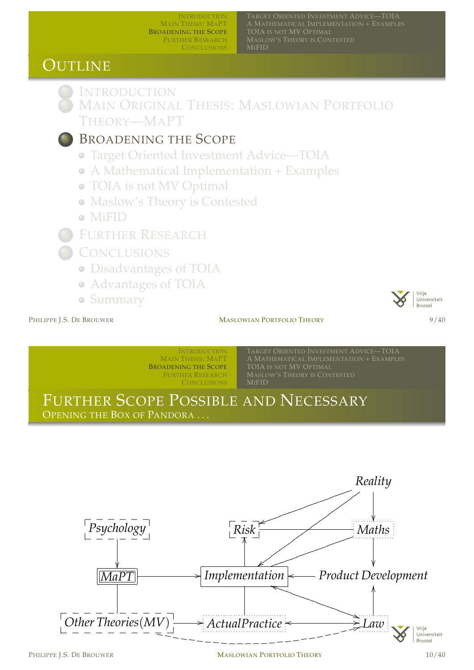A MATHEMATICAL IMPLEMENTATION + EXAMPLES TOIA IS NOT MV OPTIMAL MASLOW'S THEORY IS CONTESTED MIFID

### OUTLINE



**INTRODUCTION MAIN ORIGINAL THESIS: MASLOWIAN PORTFOLIO** THEORY—MAPT

### BROADENING THE SCOPE

- Target Oriented Investment Advice—TOIA
- A Mathematical Implementation + Examples
- TOIA is not MV Optimal
- Maslow's Theory is Contested
- MiFID
- FURTHER RESEARCH
- **CONCLUSIONS** 
	- Disadvantages of TOIA
	- Advantages of TOIA
	- Summary

#### Vrije Universiteit Brussel

#### PHILIPPE I.S. DE BROUWER **MASLOWIAN PORTFOLIO THEORY** 9/40



INTRODUCTION MAIN THESIS: MAPT BROADENING THE SCOPE FURTHER RESEARCH **CONCLUSIONS** 

TARGET ORIENTED INVESTMENT ADVICE—TOIA TOIA IS NOT MV OPTIMAL MASLOW'S THEORY IS CONTESTED MIFID

### FURTHER SCOPE POSSIBLE AND NECESSARY

OPENING THE BOX OF PANDORA . . .



<span id="page-4-0"></span> $\overline{a}$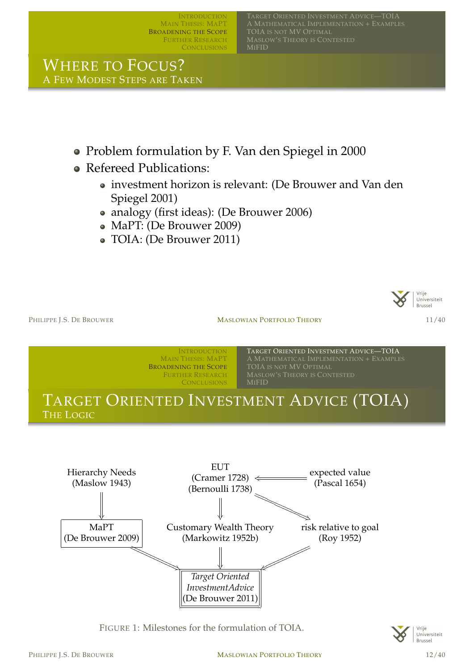TARGET ORIENTED INVESTMENT ADVICE—TOIA TOIA IS NOT MV OPTIMAL MASLOW'S THEORY IS CONTESTED MIFID

WHERE TO FOCUS? A FEW MODEST STEPS ARE TAKEN

- Problem formulation by F. Van den Spiegel in 2000
- Refereed Publications:
	- investment horizon is relevant: (De Brouwer and Van den Spiegel 2001)
	- analogy (first ideas): (De Brouwer 2006)
	- MaPT: (De Brouwer 2009)
	- TOIA: (De Brouwer 2011)



PHILIPPE I.S. DE BROUWER **MASLOWIAN PORTFOLIO THEORY** 11/40





FIGURE 1: [Milestones](#page-17-2) [f](#page-17-2)or the formulation of TOIA.

<span id="page-5-0"></span>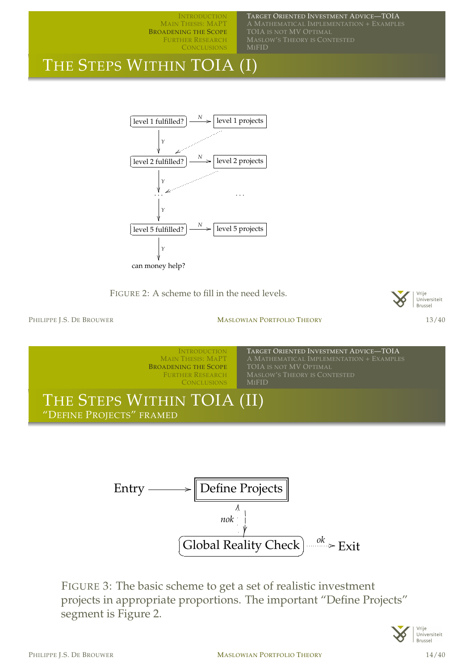TARGET ORIENTED INVESTMENT ADVICE—TOIA A MATHEMATICAL IMPLEMENTATION + EXAMPLES TOIA IS NOT MV OPTIMAL MASLOW'S THEORY IS CONTESTED

### THE STEPS WITHIN TOIA (I)



FIGURE 2: A scheme to fill in the need levels.



PHILIPPE I.S. DE BROUWER **MASLOWIAN PORTFOLIO THEORY** 13/40





FIGURE 3: The basic scheme to get a set of realistic investment projects in appropriate proportions. The important "Define Projects" segment is Figure 2.

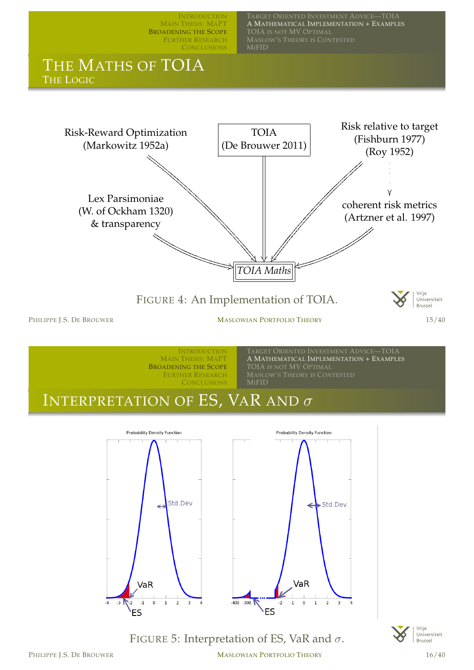

FIGURE 5: Interpretation of ES, VaR and  $\sigma$ .

 $-400 - 300$ 



VaR

 $^{\circ}1$ 

**ES** 

 $-3$ 

 $\,0\,$  $\,$  1  $\overline{2}$   $\overline{\mathbf{3}}$ 

PHILIPPE J.S. DE BROUWER **MASLOWIAN PORTFOLIO THEORY** 16/40

<span id="page-7-0"></span>۰ES

VaR

 $\mathbf{1}$  $\overline{2}$  $\overline{\mathbf{3}}$ 

 $^{\circ}1$  $\,$  0  $\,$ 

 $-2$ 

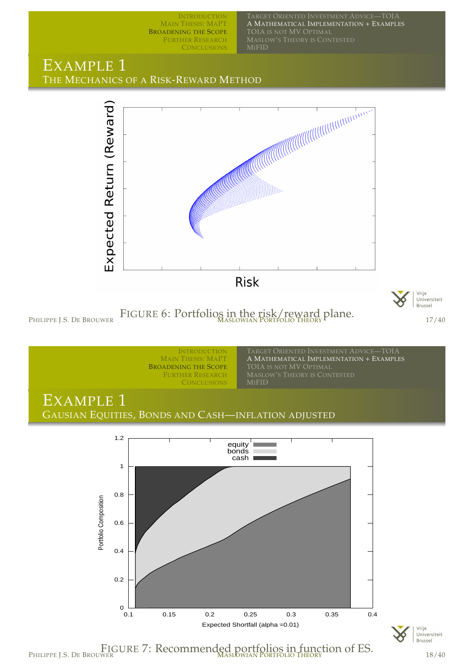TARGET ORIENTED INVESTMENT ADVICE—TOIA A MATHEMATICAL IMPLEMENTATION + EXAMPLES TOIA IS NOT MV OPTIMAL MASLOW'S THEORY IS CONTESTED

### EXAMPLE 1 THE MECHANICS OF A RISK-REWARD METHOD



PHILIPPE J.S. DE BROUWER FIGURE 6: Portfolios in the risk/reward plane.<br>
17/40







Vrije<br>Universiteit Brussel

FIGURE 7: Recommended portfolios in function of ES.<br><sup>18/40</sup> PHILIPPE J.S. DE BROUWER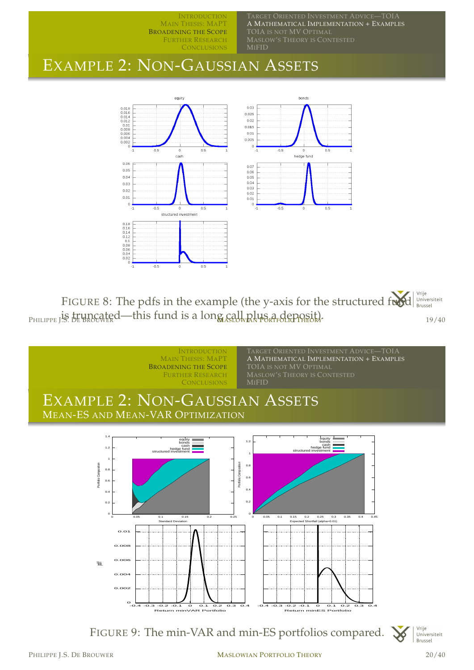A MATHEMATICAL IMPLEMENTATION + EXAMPLES TOIA IS NOT MV OPTIMAL MASLOW'S THEORY IS CONTESTED MIFID

### EXAMPLE 2: NON-GAUSSIAN ASSETS



Vrije FIGURE 8: The pdfs in the example (the y-axis for the structured fund vrije<br>Universiteit<br>Brussel  $P_{HILIPPE}$  is truncated—this fund is a long call plus a deposit).  $P_{HILIPPE}$  is the BROCAL  $P_{HILIPPE}$ 



FIGURE 9: The min-VAR and min-ES portfolios compared.

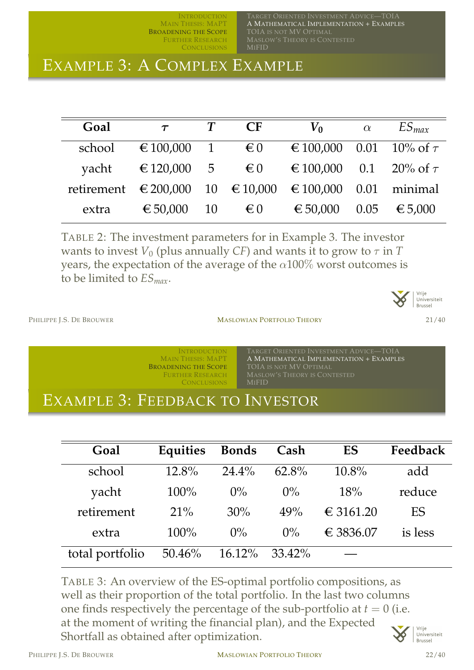TARGET ORIENTED INVESTMENT ADVICE—TOIA A MATHEMATICAL IMPLEMENTATION + EXAMPLES TOIA IS NOT MV OPTIMAL MASLOW'S THEORY IS CONTESTED MIFID

### EXAMPLE 3: A COMPLEX EXAMPLE

| Goal                                                    | $\tau$                            | <b>CF</b>    | $V_0$                                       | $\alpha$ | $ES_{max}$ |
|---------------------------------------------------------|-----------------------------------|--------------|---------------------------------------------|----------|------------|
| school                                                  | $\epsilon$ 100,000 1 $\epsilon$ 0 |              | € 100,000 0.01 10% of $\tau$                |          |            |
| yacht                                                   |                                   |              | € 120,000 5 € 0 € 100,000 0.1 20% of $\tau$ |          |            |
| retirement € 200,000 10 € 10,000 € 100,000 0.01 minimal |                                   |              |                                             |          |            |
| extra                                                   | € 50,000 10                       | $\epsilon$ 0 | € 50,000                                    | 0.05     | € 5,000    |

TABLE 2: The investment parameters for in Example 3. The investor wants to invest  $V_0$  (plus annually *CF*) and wants it to grow to  $\tau$  in *T* years, the expectation of the average of the  $\alpha$ 100% worst outcomes is to be limited to *ESmax*.



PHILIPPE L.S. DE BROUWER **MASLOWIAN PORTFOLIO THEORY** 21/40

INTRODUCTION MAIN THESIS: MAPT BROADENING THE SCOPE FURTHER RESEARCH **CONCLUSIONS** 

TARGET ORIENTED INVESTMENT ADVICE—TOIA A MATHEMATICAL IMPLEMENTATION + EXAMPLES TOIA IS NOT MV OPTIMAL MASLOW'S THEORY IS CONTESTED MIFID

### EXAMPLE 3: FEEDBACK TO INVESTOR

| Goal            | Equities | <b>Bonds</b> | Cash     | ES        | Feedback |
|-----------------|----------|--------------|----------|-----------|----------|
| school          | $12.8\%$ | $24.4\%$     | $62.8\%$ | $10.8\%$  | add      |
| yacht           | $100\%$  | $0\%$        | $0\%$    | 18%       | reduce   |
| retirement      | $21\%$   | 30%          | 49%      | € 3161.20 | ES       |
| extra           | 100%     | $0\%$        | $0\%$    | € 3836.07 | is less  |
| total portfolio | 50.46%   | $16.12\%$    | 33.42%   |           |          |

TABLE 3: An overview of the ES-optimal portfolio compositions, as well as their proportion of the total portfolio. In the last two columns one finds respectively the percentage of the sub-portfolio at  $t = 0$  (i.e. at the moment of writing the financial plan), and the Expected Shortfall as obtained after optimization.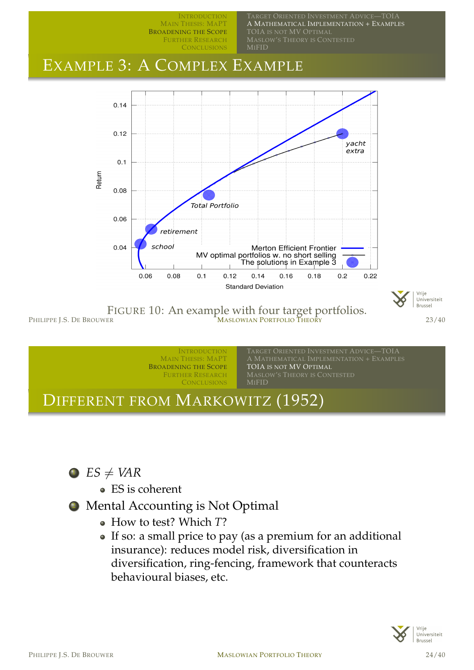

**INTRODUCTION** 

RGET ORIENTED INVESTMENT ADVICE—TOIA

FIGURE 10: An example with four target portfolios.  $\text{MASLOWIAN PORTFOLIO} \text{THEORY}$  23/40





- ES is coherent
- <sup>2</sup> Mental Accounting is Not Optimal
	- How to test? Which *T*?
	- If so: a small price to pay (as a premium for an additional insurance): reduces model risk, diversification in diversification, ring-fencing, framework that counteracts behavioural biases, etc.

<span id="page-11-0"></span>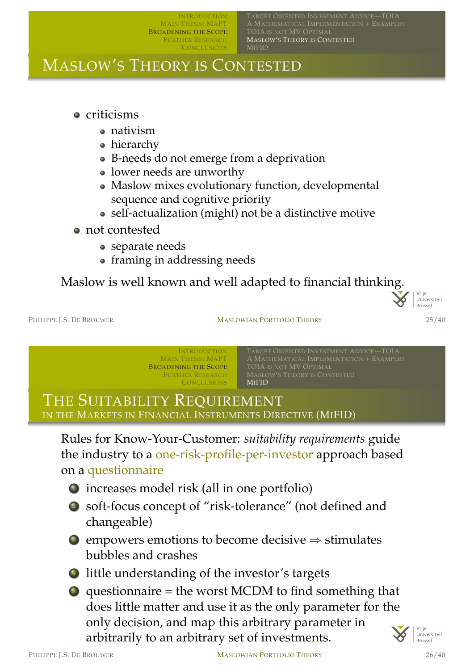A MATHEMATICAL IMPLEMENTATION + EXAMPLES TOIA IS NOT MV OPTIMAL MASLOW'S THEORY IS CONTESTED

### MASLOW'S THEORY IS CONTESTED

- **•** criticisms
	- nativism
	- hierarchy
	- B-needs do not emerge from a deprivation
	- lower needs are unworthy
	- Maslow mixes evolutionary function, developmental sequence and cognitive priority
	- self-actualization (might) not be a distinctive motive
- not contested
	- separate needs
	- framing in addressing needs

### Maslow is well known and well adapted to financial thinking.



#### PHILIPPE L.S. DE BROUWER **MASLOWIAN PORTFOLIO THEORY** 25/40

**INTRODUCTION** MAIN THESIS: MAPT BROADENING THE SCOPE FURTHER RESEARCH **CONCLUSIONS** 

TARGET ORIENTED INVESTMENT ADVICE—TOIA TOIA IS NOT MV OPTIMAL MASLOW'S THEORY IS CONTESTED MIFID

### THE SUITABILITY REQUIREMENT IN THE MARKETS IN FINANCIAL INSTRUMENTS DIRECTIVE (MIFID)

Rules for Know-Your-Customer: *suitability requirements* guide [the industry to](#page-1-0) a [one-risk-profile-per-inve](#page-5-0)stor approach based on a [questionn](#page-13-0)[aire](#page-12-0)

- 1 increases model risk (all in one portfolio)
- <sup>2</sup> soft-focus concept of "risk-tolerance" (not defined and changeable)
- $\bullet$  empowers emotions to become decisive  $\Rightarrow$  stimulates bubbles and crashes
- **little understanding of the investor's targets**
- $\bullet$  questionnaire = the worst MCDM to find something that does little matter and use it as the only parameter for the only decision, and map this arbitrary parameter in arbitrarily to an arbitrary set of investments.

<span id="page-12-0"></span>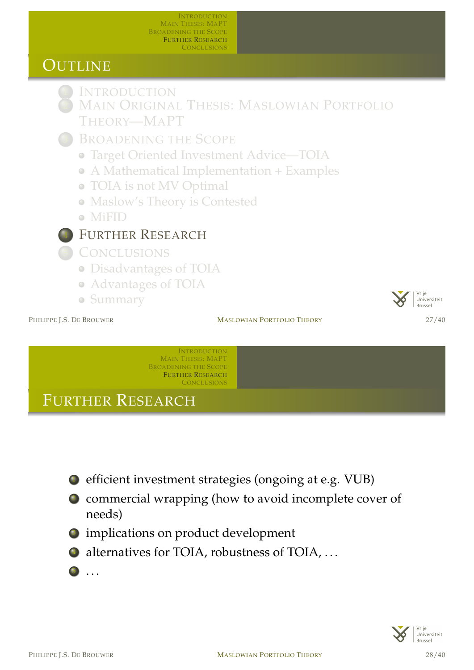### OUTLINE

**INTRODUCTION** 

- MAIN ORIGINAL THESIS: MASLOWIAN PORTFOLIO THEORY—MAPT
- BROADENING THE SCOPE
	- Target Oriented Investment Advice—TOIA
	- A Mathematical Implementation + Examples
	- TOIA is not MV Optimal
	- Maslow's Theory is Contested
	- MiFID



<sup>5</sup> CONCLUSIONS

- Disadvantages of TOIA
- Advantages of TOIA
- Summary

PHILIPPE I.S. DE BROUWER **MASLOWIAN PORTFOLIO THEORY** 27/40



INTRODUCTION MAIN THESIS: MAPT BROADENING THE SCOPE FURTHER RESEARCH **CONCLUSIONS** 

FURTHER RESEARCH

- <sup>1</sup> [efficient inv](#page-14-0)estment strategies (ongoing at e.g. VUB)
- <sup>2</sup> commercial wrapping (how to avoid incomplete cover of [needs\)](#page-2-0)
- **3** [imp](#page-2-0)[lication](#page-4-0)s on product development
- $\bullet$  [alternatives for TOIA,](#page-5-0) robustness of TOIA, ...
- <sup>5</sup> [. . .](#page-11-0)

<span id="page-13-0"></span>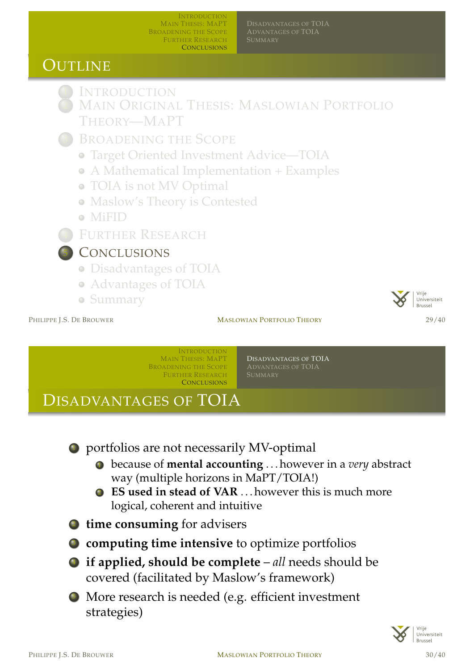ADVANTAGES OF TOIA

### **OUTLINE**

**INTRODUCTION** 

- MAIN ORIGINAL THESIS: MASLOWIAN PORTFOLIO THEORY—MAPT
- BROADENING THE SCOPE
	- Target Oriented Investment Advice—TOIA
	- A Mathematical Implementation + Examples
	- TOIA is not MV Optimal
	- Maslow's Theory is Contested
	- MiFID
- FURTHER RESEARCH

### **CONCLUSIONS**

- Disadvantages of TOIA
- Advantages of TOIA
- Summary



#### PHILIPPE I.S. DE BROUWER **MASLOWIAN PORTFOLIO THEORY** 29/40

INTRODUCTION MAIN THESIS: MAPT BROADENING THE SCOPE FURTHER RESEARCH **CONCLUSIONS** 

DISADVANTAGES OF TOIA ADVANTAGES OF TOIA

### DISADVANTAGES OF TOIA

<sup>1</sup> [portfolios a](#page-1-0)re not necessarily MV-optimal

- <sup>1</sup> [becaus](#page-4-0)e of **[mental](#page-14-0)[accounting](#page-14-0)** . . . however in a *very* abstract [way \(m](#page-14-0)[ultiple horizons in MaPT/TO](#page-15-0)IA!)
- <sup>2</sup> **ES used in stead of VAR** . . . however this is much more logical, coherent and intuitive
- <sup>2</sup> **[time consuming](#page-2-0)** for advisers
- <sup>3</sup> **[computing](#page-4-0) time intensive** to optimize portfolios
- <sup>4</sup> **[if applied, should be co](#page-7-0)mplete** *all* needs should be [covered \(](#page-11-0)[facil](#page-12-0)itated by Maslow's framework)
- <sup>5</sup> More research is needed (e.g. efficient investment [strategi](#page-13-0)es)

<span id="page-14-0"></span>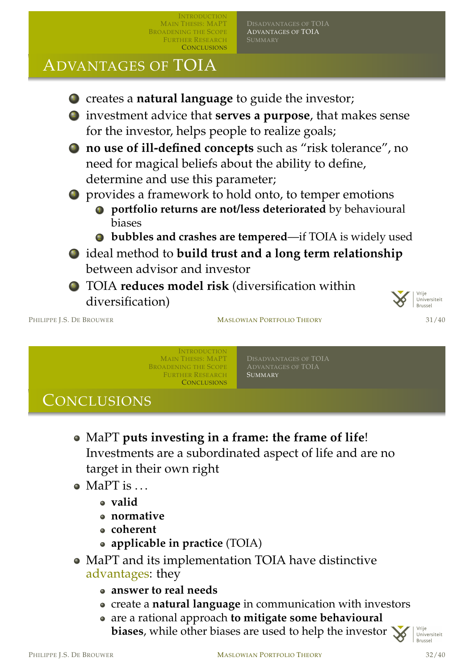ADVANTAGES OF TOIA

### ADVANTAGES OF TOIA



Universiteit Brussel

#### PHILIPPE J.S. DE BROUWER **MASLOWIAN PORTFOLIO THEORY** 31/40

**INTRODUCTION** MAIN THESIS: MAPT BROADENING THE SCOPE FURTHER RESEARCH **CONCLUSIONS** 

ADVANTAGES OF TOIA **SUMMARY** 

### **CONCLUSIONS**

- MaPT **puts investing in a frame: the frame of life**! [Investmen](#page-1-0)[ts are a subordinated aspec](#page-14-0)t of life and are no [target](#page-4-0)[in](#page-4-0)[th](#page-4-0)[eir own right](#page-15-0)
- $\bullet$  [MaPT](#page-14-0) [is](#page-14-0) [.](#page-14-0)..
	- **valid**
	- **normative**
	- **coherent**

diversification)

- **applicable in practice** (TOIA)
- MaPT and its implementation TOIA have distinctive advantages: they
	- **answer to real needs**
	- create a **natural language** in communication with investors
	- are a rational approach **to mitigate some behavioural biases**, while other biases are used to help the investor  $\mathbf{\times}$

<span id="page-15-0"></span>Vrije Universiteit Brussel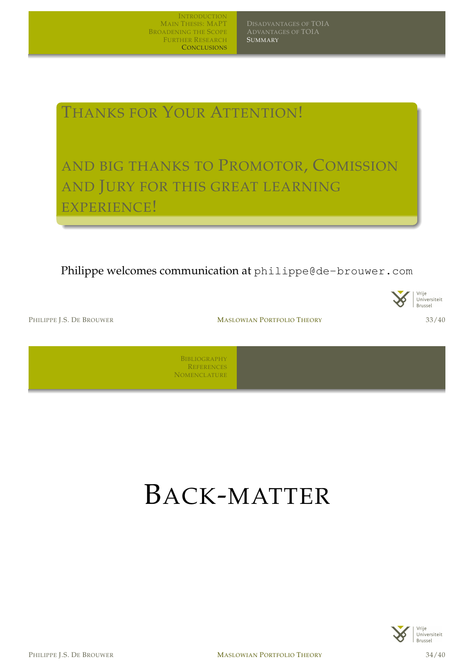**SUMMARY** 

### THANKS FOR YOUR ATTENTION!

AND BIG THANKS TO PROMOTOR, COMISSION AND JURY FOR THIS GREAT LEARNING EXPERIENCE!

Philippe welcomes communication at philippe@de-brouwer.com



PHILIPPE I.S. DE BROUWER **MASLOWIAN PORTFOLIO THEORY** 33/40



BIBLIOGRAPHY REFERENCES **NOMENCLATURE** 

## BACK-MATTER

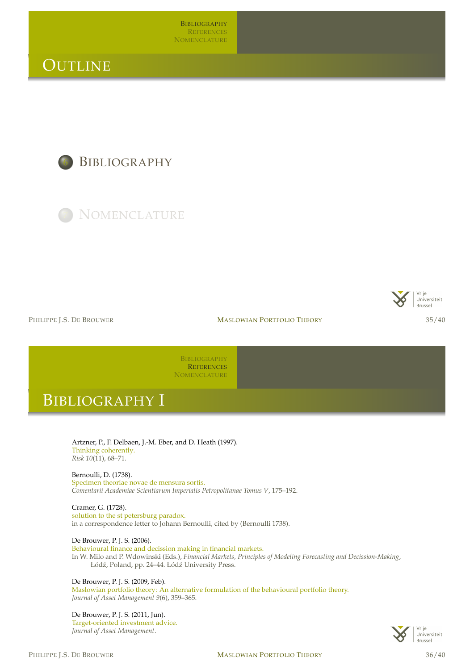**BIBLIOGRAPHY REFERENCES NOMENCLATURE** 

### **OUTLINE**

**BIBLIOGRAPHY** 



Vrije Universiteit Brussel

PHILIPPE I.S. DE BROUWER **MASLOWIAN PORTFOLIO THEORY** 35/40

BIBLIOGRAPHY **REFERENCES NOMENCLATURE** 

### BIBLIOGRAPHY I

Artzner, P., F. Delbaen, J.-M. Eber, and D. Heath (1997). Thinking coherently. *Risk 10*[\(11\), 68–71.](#page-17-3)

[Bernoulli, D. \(1738\).](#page-19-0) Specimen theoriae novae de mensura sortis. *Comentarii Academiae Scientiarum Imperialis Petropolitanae Tomus V*, 175–192.

Cramer, G. (1728). solution to the st petersburg paradox. in a correspondence letter to Johann Bernoulli, cited by (Bernoulli 1738).

<span id="page-17-1"></span>De Brouwer, P. J. S. (2006).

Behavioural finance and decission making in financial markets. [In W. Milo](#page-17-3) and P. Wdowinski (Eds.), *Financial Markets, Principles of Modeling Forecasting and Decission-Making*, Łódź, Poland, pp. 24–44. Łódź University Press.

<span id="page-17-0"></span>De Brouwer, P. J. S. (200[9,](#page-17-1) [Feb\).](#page-17-1)

[Maslowian p](#page-19-0)ortfolio theory: An alternative formulation of the behavioural portfolio theory. *Journal of Asset Management 9*(6), 359–365.

<span id="page-17-2"></span>De Brouwer, P. J. S. (2011, Jun). Target-oriented investment advice. *Journal of Asset Management*.

<span id="page-17-3"></span>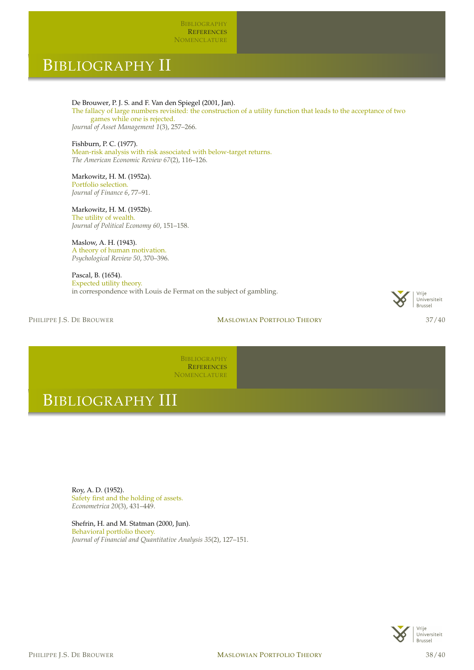**BIBLIOGRAPHY REFERENCES NOMENCLATURE** 

### BIBLIOGRAPHY II

De Brouwer, P. J. S. and F. Van den Spiegel (2001, Jan).

The fallacy of large numbers revisited: the construction of a utility function that leads to the acceptance of two games while one is rejected.

*Journal of Asset Management 1*(3), 257–266.

Fishburn, P. C. (1977). Mean-risk analysis with risk associated with below-target returns. *The American Economic Review 67*(2), 116–126.

Markowitz, H. M. (1952a). Portfolio selection. *Journal of Finance 6*, 77–91.

Markowitz, H. M. (1952b). The utility of wealth. *Journal of Political Economy 60*, 151–158.

Maslow, A. H. (1943). A theory of human motivation. *Psychological Review 50*, 370–396.

Pascal, B. (1654). Expected utility theory. in correspondence with Louis de Fermat on the subject of gambling.

PHILIPPE I.S. DE BROUWER **MASLOWIAN PORTFOLIO THEORY** 37/40



BIBLIOGRAPHY **REFERENCES NOMENCLATURE** 

### BIBLIOGRAPHY III

Roy, A. D. (1952). Safety first and the holding of assets. *Econometrica 20*(3), 431–449.

<span id="page-18-4"></span><span id="page-18-3"></span><span id="page-18-2"></span><span id="page-18-1"></span><span id="page-18-0"></span>Shefrin, H. and M. Statman (2000, Jun). Behavioral portfolio theory. *Journal of Financial and Quantitative Analysis 35*(2), 127–151.